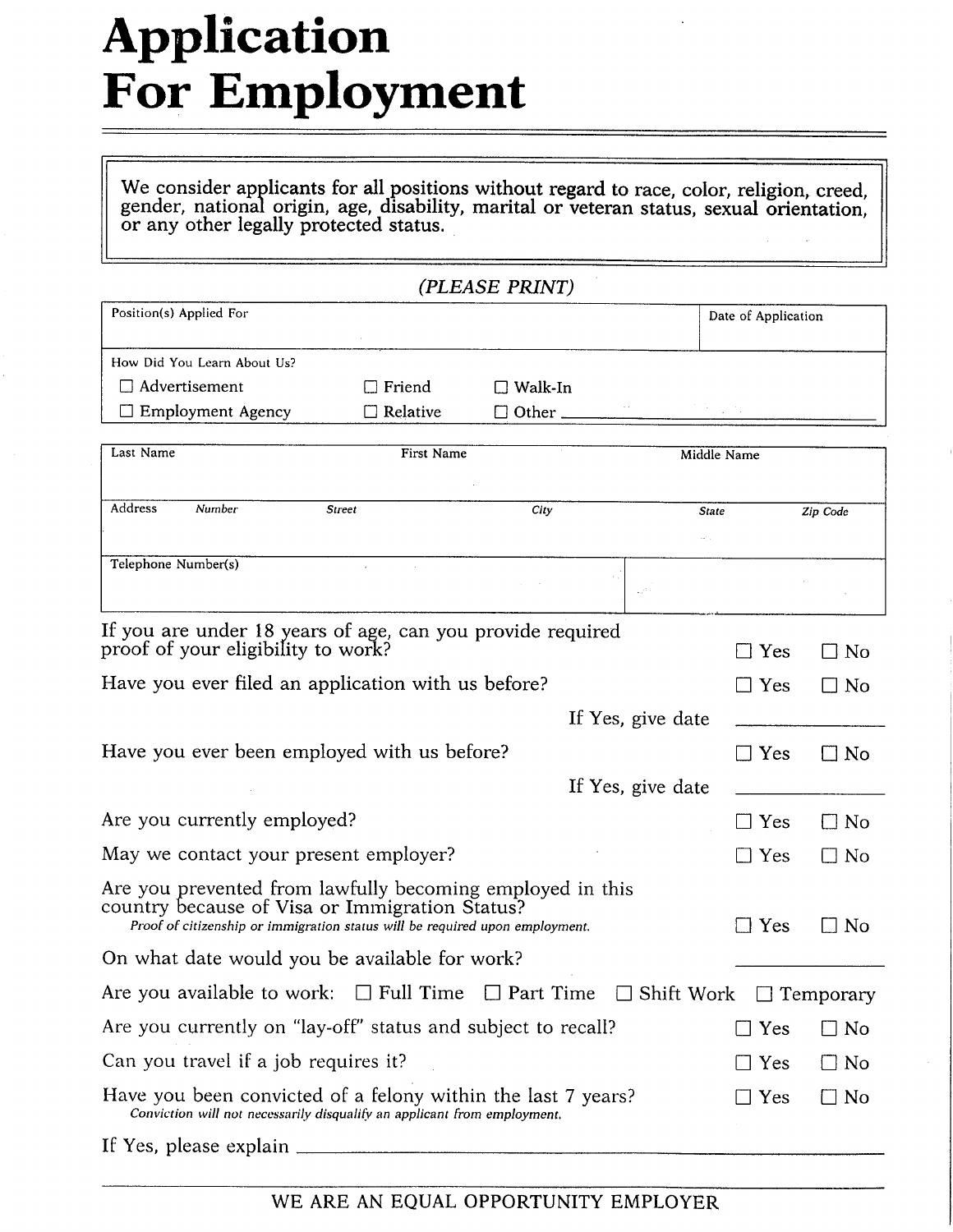# **Application For Employment**

We consider applicants for all positions without regard to race, color, religion, creed, gender, national origin, age, disability, marital or veteran status, sexual orientation, or any other legally protected status.

|                                                                                                                                                                                             |            | (PLEASE PRINT)    |                   |                     |                    |
|---------------------------------------------------------------------------------------------------------------------------------------------------------------------------------------------|------------|-------------------|-------------------|---------------------|--------------------|
| Position(s) Applied For                                                                                                                                                                     |            |                   |                   | Date of Application |                    |
| How Did You Learn About Us?                                                                                                                                                                 |            |                   |                   |                     |                    |
| $\Box$ Advertisement                                                                                                                                                                        | Friend     | $\square$ Walk-In |                   |                     |                    |
| $\Box$ Employment Agency                                                                                                                                                                    | Relative   | $\Box$ Other.     |                   |                     |                    |
| Last Name                                                                                                                                                                                   | First Name |                   |                   | Middle Name         |                    |
| Address<br>Number                                                                                                                                                                           | Street     | City              | <b>State</b>      |                     | Zip Code           |
|                                                                                                                                                                                             |            |                   |                   |                     |                    |
| Telephone Number(s)                                                                                                                                                                         |            |                   |                   |                     |                    |
| If you are under 18 years of age, can you provide required<br>proof of your eligibility to work?                                                                                            |            |                   |                   | Yes                 | No                 |
| Have you ever filed an application with us before?                                                                                                                                          |            |                   |                   | $\Box$ Yes          | No<br>$\mathbf{I}$ |
|                                                                                                                                                                                             |            |                   | If Yes, give date |                     |                    |
| Have you ever been employed with us before?                                                                                                                                                 |            |                   |                   | $\Box$ Yes          | $\Box$ No          |
|                                                                                                                                                                                             |            |                   | If Yes, give date |                     |                    |
| Are you currently employed?                                                                                                                                                                 |            |                   |                   | Yes                 | $\Box$ No          |
| May we contact your present employer?                                                                                                                                                       |            |                   |                   | $\Box$ Yes          | $\Box$ No          |
| Are you prevented from lawfully becoming employed in this<br>country because of Visa or Immigration Status?<br>Proof of citizenship or immigration status will be required upon employment. |            |                   |                   | $\Box$ Yes          | $\Box$ No          |
| On what date would you be available for work?                                                                                                                                               |            |                   |                   |                     |                    |
| Are you available to work: $\Box$ Full Time $\Box$ Part Time $\Box$ Shift Work $\Box$ Temporary                                                                                             |            |                   |                   |                     |                    |
| Are you currently on "lay-off" status and subject to recall?                                                                                                                                |            |                   |                   | $\Box$ Yes          | $\Box$ No          |
| Can you travel if a job requires it?                                                                                                                                                        |            |                   |                   | $\Box$ Yes          | $\Box$ No          |
| Have you been convicted of a felony within the last 7 years?<br>Conviction will not necessarily disqualify an applicant from employment.                                                    |            |                   |                   | $\exists$ Yes       | $\square$ No       |
| If Yes, please explain                                                                                                                                                                      |            |                   |                   |                     |                    |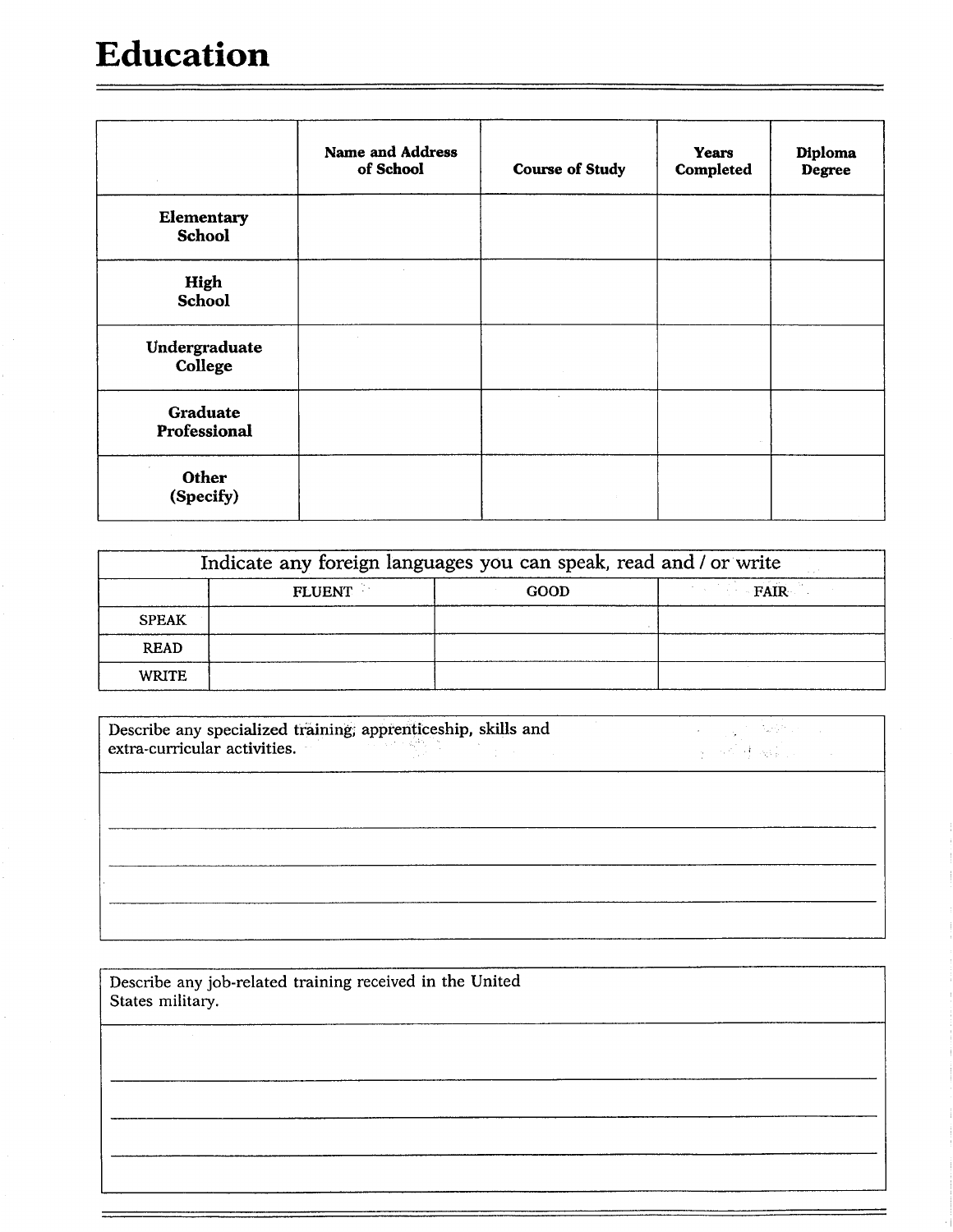### **Education**

|                             | <b>Name and Address</b><br>of School | <b>Course of Study</b> | <b>Years</b><br>Completed | Diploma<br>Degree |
|-----------------------------|--------------------------------------|------------------------|---------------------------|-------------------|
| Elementary<br><b>School</b> |                                      |                        |                           |                   |
| High<br><b>School</b>       |                                      |                        |                           |                   |
| Undergraduate<br>College    |                                      |                        |                           |                   |
| Graduate<br>Professional    |                                      | $\cdot$                |                           |                   |
| Other<br>(Specify)          |                                      |                        |                           |                   |

|              | Indicate any foreign languages you can speak, read and / or write |      |      |
|--------------|-------------------------------------------------------------------|------|------|
|              | <b>FLUENT</b>                                                     | GOOD | FAIR |
| <b>SPEAK</b> |                                                                   |      |      |
| <b>READ</b>  |                                                                   |      |      |
| <b>WRITE</b> |                                                                   |      |      |

 $\overline{\text{Describe any specialized training; apprenticeship, skills and extra-curricular activities.}}$  $\label{eq:2} \mathcal{L}_{\mathcal{L}} = \left\{ \mathcal{L}_{\mathcal{L}} \right\} \left( \mathcal{L}_{\mathcal{L}} \right) \mathcal{L}_{\mathcal{L}} \left( \mathcal{L}_{\mathcal{L}} \right)$ 

Describe any job-related training received in the United States military.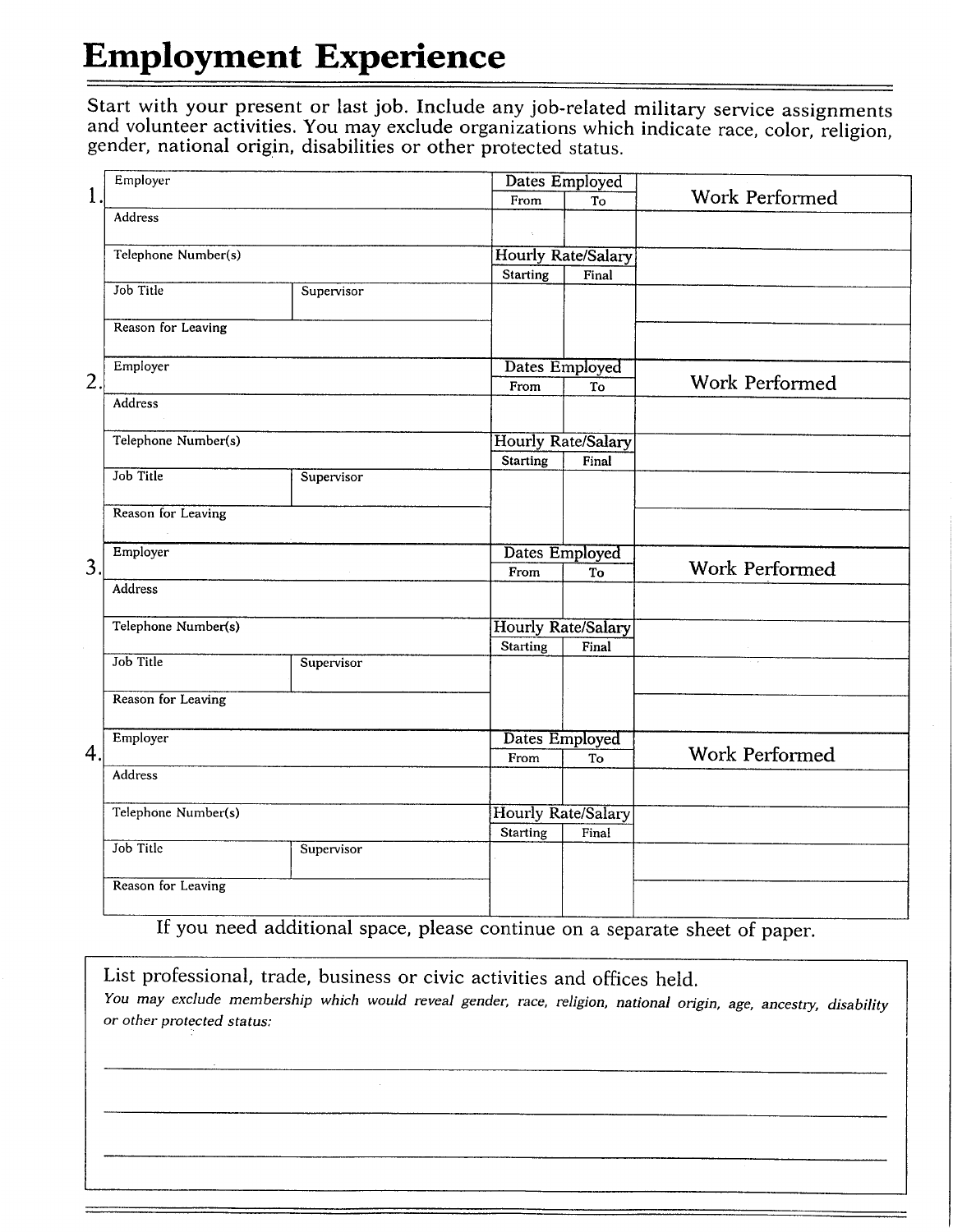## **Employment Experience**

Start with your present or last job. Include any job-related military service assignments and volunteer activities. You may exclude organizations which indicate race, color, religion, gender, national origin, disabilities or other protected status.

|                  | Employer                  |            |                           | Dates Employed            |                       |
|------------------|---------------------------|------------|---------------------------|---------------------------|-----------------------|
| $\mathbf{1}$     |                           |            | From                      | To                        | Work Performed        |
|                  | <b>Address</b>            |            |                           |                           |                       |
|                  | Telephone Number(s)       |            |                           | <b>Hourly Rate/Salary</b> |                       |
|                  |                           |            | <b>Starting</b>           | Final                     |                       |
|                  | Job Title                 | Supervisor |                           |                           |                       |
|                  | Reason for Leaving        |            |                           |                           |                       |
|                  | Employer                  |            |                           | Dates Employed            |                       |
| $\overline{2}$ . |                           |            | From                      | To                        | Work Performed        |
|                  | Address                   |            |                           |                           |                       |
|                  | Telephone Number(s)       |            | Hourly Rate/Salary        |                           |                       |
|                  |                           |            | Starting                  | Final                     |                       |
|                  | Job Title                 | Supervisor |                           |                           |                       |
|                  | Reason for Leaving        |            |                           |                           |                       |
|                  | Employer                  |            | Dates Employed            |                           |                       |
| 3.               |                           |            | From                      | To                        | <b>Work Performed</b> |
|                  | Address                   |            |                           |                           |                       |
|                  | Telephone Number(s)       |            | <b>Hourly Rate/Salary</b> |                           |                       |
|                  | Job Title                 |            | Starting                  | Final                     |                       |
|                  |                           | Supervisor |                           |                           |                       |
|                  | <b>Reason for Leaving</b> |            |                           |                           |                       |
|                  | Employer                  |            | Dates Employed            |                           |                       |
| 4.               |                           |            | From                      | To                        | Work Performed        |
|                  | Address                   |            |                           |                           |                       |
|                  | Telephone Number(s)       |            | <b>Hourly Rate/Salary</b> |                           |                       |
|                  |                           |            | <b>Starting</b>           | Final                     |                       |
|                  | Job Title                 | Supervisor |                           |                           |                       |
|                  | Reason for Leaving        |            |                           |                           |                       |
|                  |                           |            |                           |                           |                       |

If you need additional space, please continue on a separate sheet of paper.

List professional, trade, business or civic activities and offices held. You may exclude membership which would reveal gender, race, religion, national origin, age, ancestry, disability or other protected status: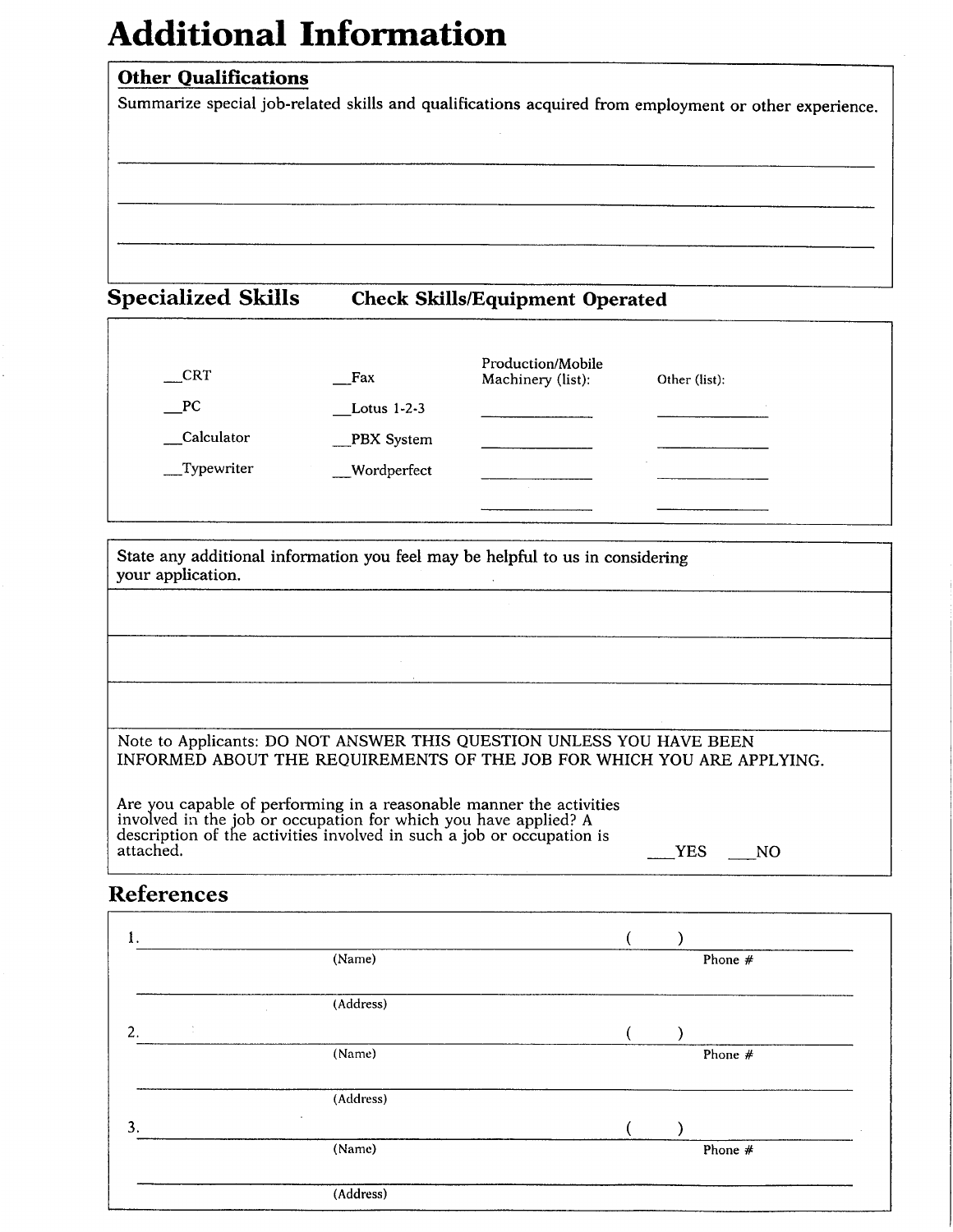### **Additional Information**

#### **Other Qualifications**

Summarize special job-related skills and qualifications acquired from employment or other experience.

#### **Specialized Skills Check Skills/Equipment Operated**

| CRT          | $_{\rm{z,Ex}}$ | Production/Mobile<br>Machinery (list): | Other (list):            |
|--------------|----------------|----------------------------------------|--------------------------|
| PC           | Lotus 1-2-3    |                                        |                          |
| Calculator   | $PRX$ System   |                                        |                          |
| __Typewriter | Wordperfect    |                                        | $\overline{\phantom{a}}$ |

State any additional information you feel may be helpful to us in considering your application.

#### Note to Applicants: DO NOT ANSWER THIS QUESTION UNLESS YOU HAVE BEEN INFORMED ABOUT THE REQUIREMENTS OF THE JOB FOR WHICH YOU ARE APPLYING.

Are you capable of performing in a reasonable manner the activities involved in the job or occupation for which you have applied? A description of the activities involved in such a job or occupation is attached.  $YES$  NO

### **References**

| 1.      |           |  |           |
|---------|-----------|--|-----------|
|         | (Name)    |  | Phone $#$ |
|         | (Address) |  |           |
| t<br>2. |           |  |           |
|         | (Name)    |  | Phone $#$ |
|         | (Address) |  |           |
| 3.      | $\sim$    |  |           |
|         | (Name)    |  | Phone #   |
|         | (Address) |  |           |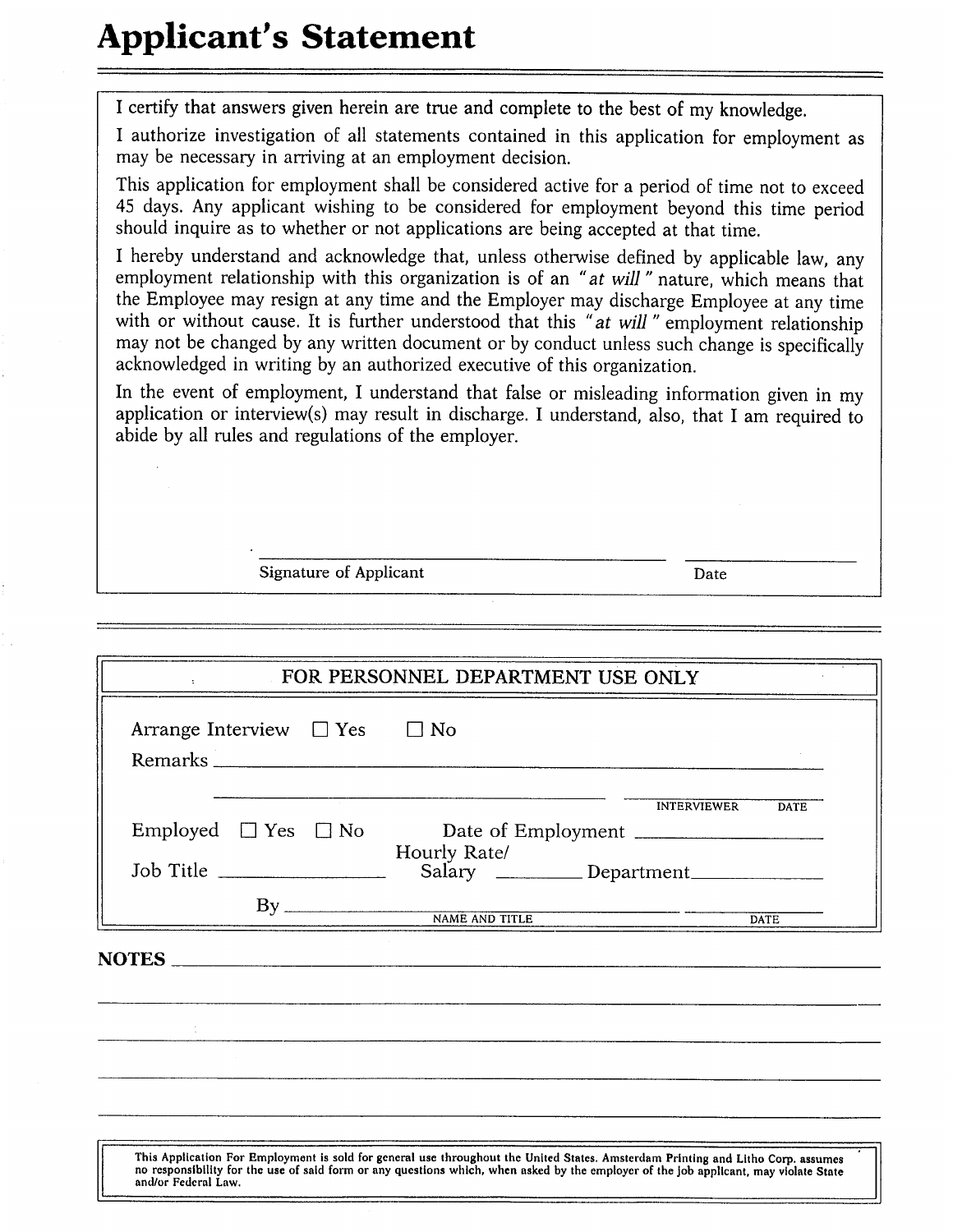### **Applicant's Statement**

I certify that answers given herein are true and complete to the best of my knowledge.

I authorize investigation of all statements contained in this application for employment as may be necessary in arriving at an employment decision.

This application for employment shall be considered active for a period of time not to exceed 45 days. Any applicant wishing to be considered for employment beyond this time period should inquire as to whether or not applications are being accepted at that time.

I hereby understand and acknowledge that, unless otherwise defined by applicable law, any employment relationship with this organization is of an "at will" nature, which means that the Employee may resign at any time and the Employer may discharge Employee at any time with or without cause. It is further understood that this "at will" employment relationship may not be changed by any written document or by conduct unless such change is specifically acknowledged in writing by an authorized executive of this organization.

In the event of employment, I understand that false or misleading information given in my application or interview(s) may result in discharge. I understand, also, that I am required to abide by all rules and regulations of the employer.

Signature of Applicant

Date

|                                        |  | FOR PERSONNEL DEPARTMENT USE ONLY                                                                                                                                                                                                                                         |                            |
|----------------------------------------|--|---------------------------------------------------------------------------------------------------------------------------------------------------------------------------------------------------------------------------------------------------------------------------|----------------------------|
| Arrange Interview $\Box$ Yes $\Box$ No |  |                                                                                                                                                                                                                                                                           |                            |
|                                        |  |                                                                                                                                                                                                                                                                           | INTERVIEWER<br><b>DATE</b> |
| Job Title                              |  | Hourly Rate/<br>Salary _________ Department____________                                                                                                                                                                                                                   |                            |
|                                        |  |                                                                                                                                                                                                                                                                           | <b>DATE</b>                |
|                                        |  | NOTES                                                                                                                                                                                                                                                                     |                            |
|                                        |  |                                                                                                                                                                                                                                                                           |                            |
|                                        |  |                                                                                                                                                                                                                                                                           |                            |
|                                        |  |                                                                                                                                                                                                                                                                           |                            |
| and/or Federal Law                     |  | This Application For Employment is sold for general use throughout the United States. Amsterdam Printing and Litho Corp. assumes<br>no responsibility for the use of said form or any questions which, when asked by the employer of the job applicant, may violate State |                            |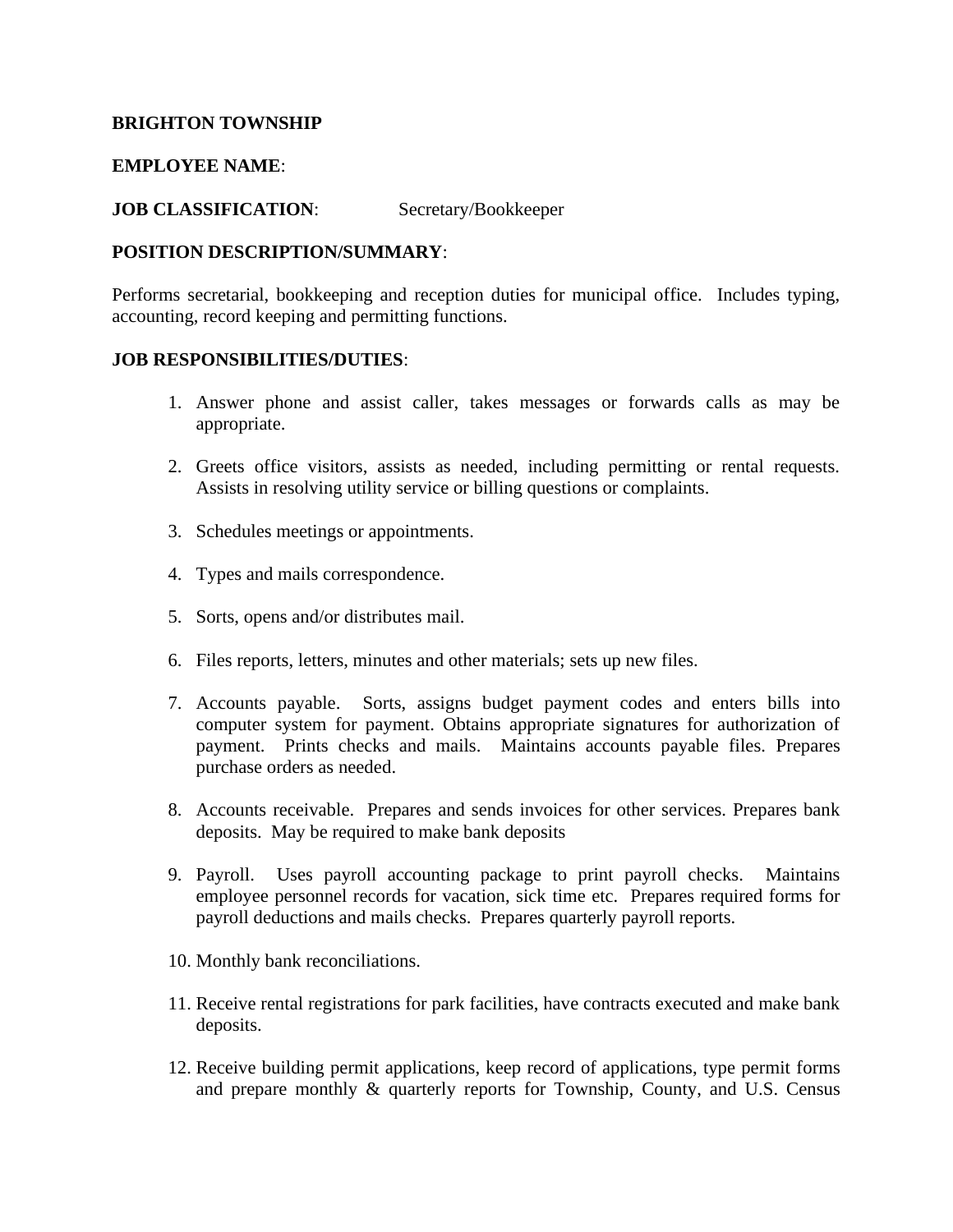#### **BRIGHTON TOWNSHIP**

#### **EMPLOYEE NAME**:

**JOB CLASSIFICATION**: Secretary/Bookkeeper

#### **POSITION DESCRIPTION/SUMMARY**:

Performs secretarial, bookkeeping and reception duties for municipal office. Includes typing, accounting, record keeping and permitting functions.

#### **JOB RESPONSIBILITIES/DUTIES**:

- 1. Answer phone and assist caller, takes messages or forwards calls as may be appropriate.
- 2. Greets office visitors, assists as needed, including permitting or rental requests. Assists in resolving utility service or billing questions or complaints.
- 3. Schedules meetings or appointments.
- 4. Types and mails correspondence.
- 5. Sorts, opens and/or distributes mail.
- 6. Files reports, letters, minutes and other materials; sets up new files.
- 7. Accounts payable. Sorts, assigns budget payment codes and enters bills into computer system for payment. Obtains appropriate signatures for authorization of payment. Prints checks and mails. Maintains accounts payable files. Prepares purchase orders as needed.
- 8. Accounts receivable. Prepares and sends invoices for other services. Prepares bank deposits. May be required to make bank deposits
- 9. Payroll. Uses payroll accounting package to print payroll checks. Maintains employee personnel records for vacation, sick time etc. Prepares required forms for payroll deductions and mails checks. Prepares quarterly payroll reports.
- 10. Monthly bank reconciliations.
- 11. Receive rental registrations for park facilities, have contracts executed and make bank deposits.
- 12. Receive building permit applications, keep record of applications, type permit forms and prepare monthly & quarterly reports for Township, County, and U.S. Census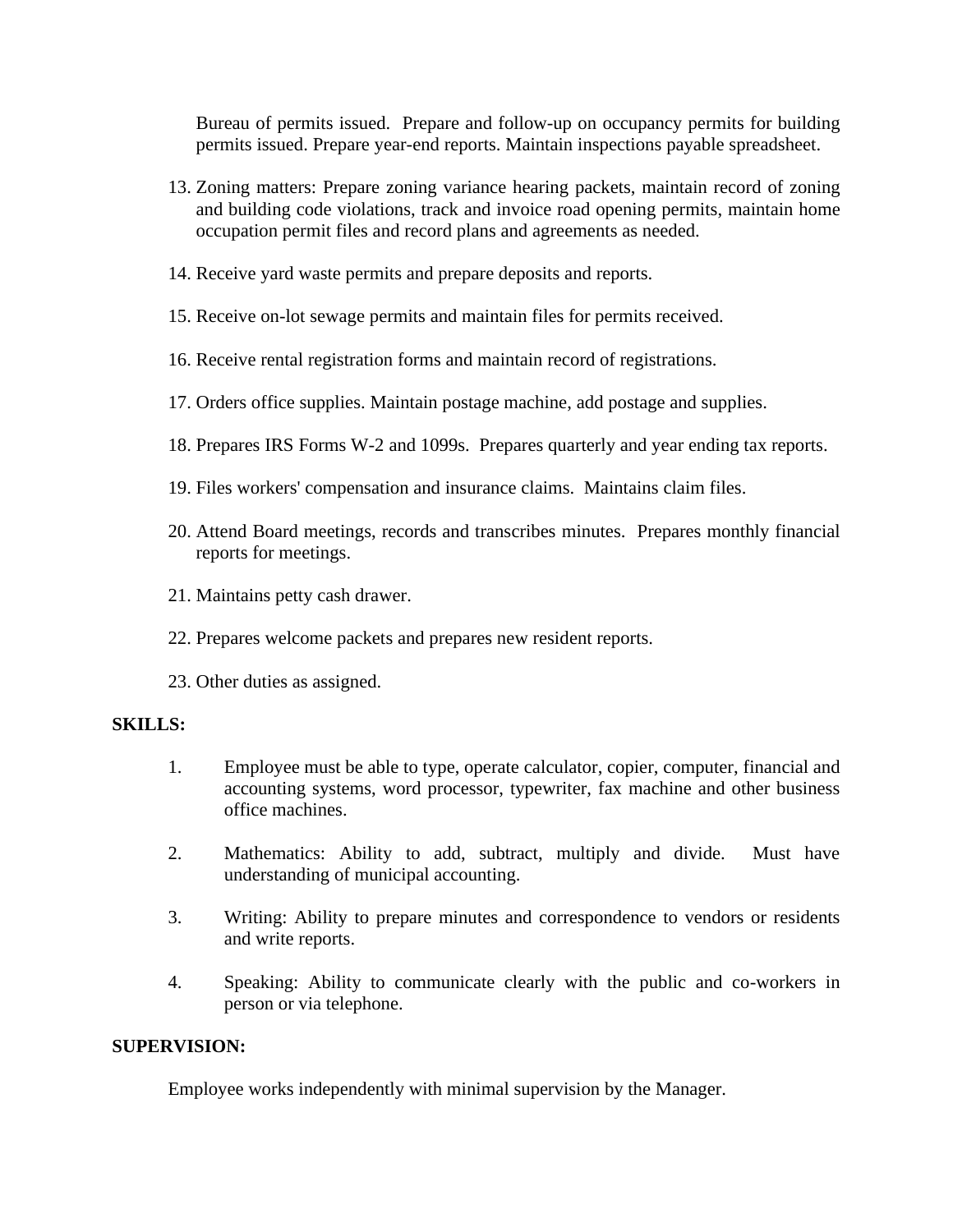Bureau of permits issued. Prepare and follow-up on occupancy permits for building permits issued. Prepare year-end reports. Maintain inspections payable spreadsheet.

- 13. Zoning matters: Prepare zoning variance hearing packets, maintain record of zoning and building code violations, track and invoice road opening permits, maintain home occupation permit files and record plans and agreements as needed.
- 14. Receive yard waste permits and prepare deposits and reports.
- 15. Receive on-lot sewage permits and maintain files for permits received.
- 16. Receive rental registration forms and maintain record of registrations.
- 17. Orders office supplies. Maintain postage machine, add postage and supplies.
- 18. Prepares IRS Forms W-2 and 1099s. Prepares quarterly and year ending tax reports.
- 19. Files workers' compensation and insurance claims. Maintains claim files.
- 20. Attend Board meetings, records and transcribes minutes. Prepares monthly financial reports for meetings.
- 21. Maintains petty cash drawer.
- 22. Prepares welcome packets and prepares new resident reports.
- 23. Other duties as assigned.

#### **SKILLS:**

- 1. Employee must be able to type, operate calculator, copier, computer, financial and accounting systems, word processor, typewriter, fax machine and other business office machines.
- 2. Mathematics: Ability to add, subtract, multiply and divide. Must have understanding of municipal accounting.
- 3. Writing: Ability to prepare minutes and correspondence to vendors or residents and write reports.
- 4. Speaking: Ability to communicate clearly with the public and co-workers in person or via telephone.

#### **SUPERVISION:**

Employee works independently with minimal supervision by the Manager.